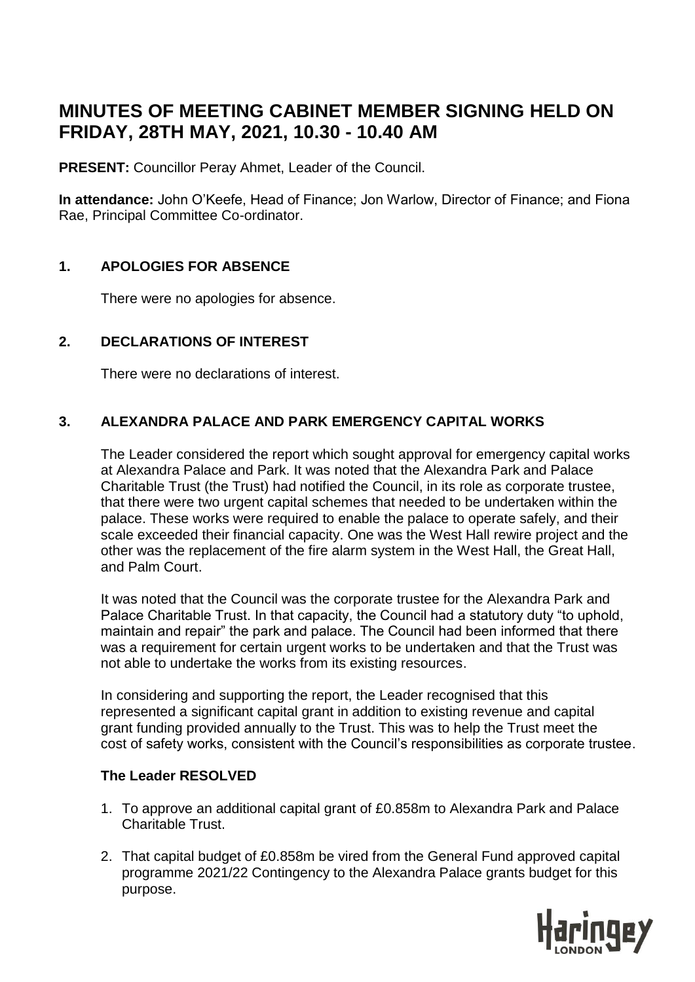# **MINUTES OF MEETING CABINET MEMBER SIGNING HELD ON FRIDAY, 28TH MAY, 2021, 10.30 - 10.40 AM**

**PRESENT:** Councillor Peray Ahmet, Leader of the Council.

**In attendance:** John O'Keefe, Head of Finance; Jon Warlow, Director of Finance; and Fiona Rae, Principal Committee Co-ordinator.

# **1. APOLOGIES FOR ABSENCE**

There were no apologies for absence.

# **2. DECLARATIONS OF INTEREST**

There were no declarations of interest.

# **3. ALEXANDRA PALACE AND PARK EMERGENCY CAPITAL WORKS**

The Leader considered the report which sought approval for emergency capital works at Alexandra Palace and Park. It was noted that the Alexandra Park and Palace Charitable Trust (the Trust) had notified the Council, in its role as corporate trustee, that there were two urgent capital schemes that needed to be undertaken within the palace. These works were required to enable the palace to operate safely, and their scale exceeded their financial capacity. One was the West Hall rewire project and the other was the replacement of the fire alarm system in the West Hall, the Great Hall, and Palm Court.

It was noted that the Council was the corporate trustee for the Alexandra Park and Palace Charitable Trust. In that capacity, the Council had a statutory duty "to uphold, maintain and repair" the park and palace. The Council had been informed that there was a requirement for certain urgent works to be undertaken and that the Trust was not able to undertake the works from its existing resources.

In considering and supporting the report, the Leader recognised that this represented a significant capital grant in addition to existing revenue and capital grant funding provided annually to the Trust. This was to help the Trust meet the cost of safety works, consistent with the Council's responsibilities as corporate trustee.

## **The Leader RESOLVED**

- 1. To approve an additional capital grant of £0.858m to Alexandra Park and Palace Charitable Trust.
- 2. That capital budget of £0.858m be vired from the General Fund approved capital programme 2021/22 Contingency to the Alexandra Palace grants budget for this purpose.